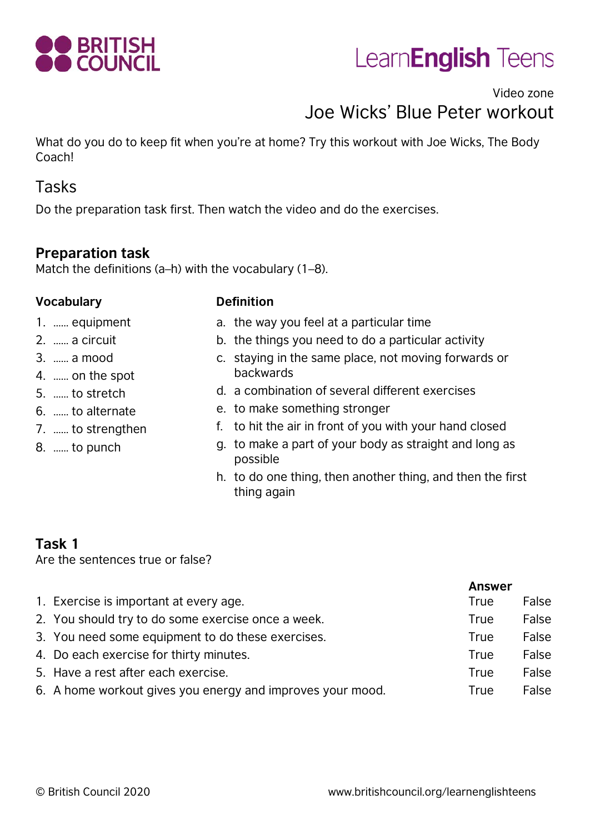

# Learn**English** Teens

# Video zone Joe Wicks' Blue Peter workout

What do you do to keep fit when you're at home? Try this workout with Joe Wicks, The Body Coach!

### Tasks

Do the preparation task first. Then watch the video and do the exercises.

#### **Preparation task**

Match the definitions (a–h) with the vocabulary (1–8).

#### **Vocabulary Definition**

- 1. …… equipment
- 2. …… a circuit
- 3. …… a mood
- 4. …… on the spot
- 5. …… to stretch
- 6. …… to alternate
- 7. …… to strengthen
- 8. …… to punch
- a. the way you feel at a particular time
- b. the things you need to do a particular activity
- c. staying in the same place, not moving forwards or backwards
- d. a combination of several different exercises
- e. to make something stronger
- f. to hit the air in front of you with your hand closed
- g. to make a part of your body as straight and long as possible
- h. to do one thing, then another thing, and then the first thing again

#### **Task 1**

Are the sentences true or false?

|                                                            | <b>Answer</b> |       |
|------------------------------------------------------------|---------------|-------|
| 1. Exercise is important at every age.                     | True          | False |
| 2. You should try to do some exercise once a week.         | True          | False |
| 3. You need some equipment to do these exercises.          | True          | False |
| 4. Do each exercise for thirty minutes.                    | True          | False |
| 5. Have a rest after each exercise.                        | <b>True</b>   | False |
| 6. A home workout gives you energy and improves your mood. | True          | False |
|                                                            |               |       |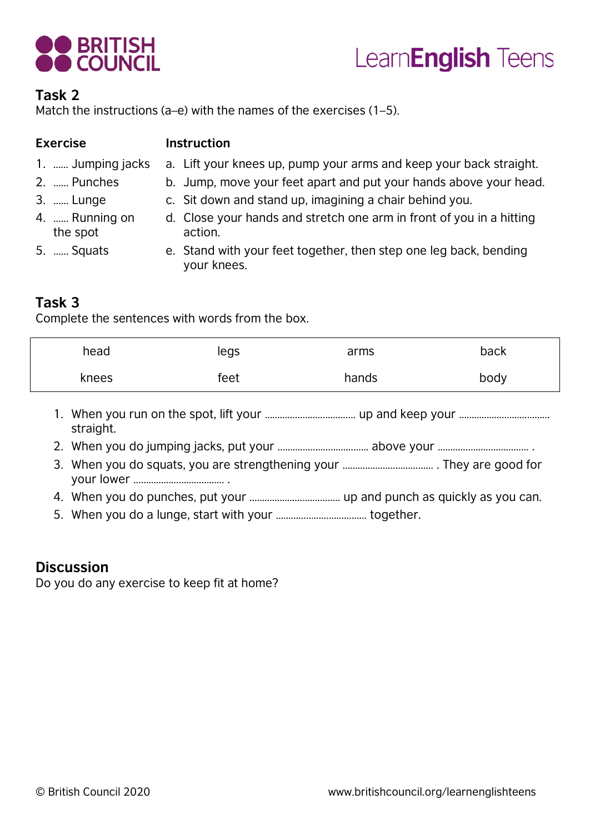



#### **Task 2**

Match the instructions (a–e) with the names of the exercises (1–5).

| <b>Exercise</b>            | <b>Instruction</b>                                                               |  |  |  |
|----------------------------|----------------------------------------------------------------------------------|--|--|--|
| 1.  Jumping jacks          | a. Lift your knees up, pump your arms and keep your back straight.               |  |  |  |
| 2.  Punches                | b. Jump, move your feet apart and put your hands above your head.                |  |  |  |
| 3.  Lunge                  | c. Sit down and stand up, imagining a chair behind you.                          |  |  |  |
| 4.  Running on<br>the spot | d. Close your hands and stretch one arm in front of you in a hitting<br>action.  |  |  |  |
| 5.  Squats                 | e. Stand with your feet together, then step one leg back, bending<br>your knees. |  |  |  |

#### **Task 3**

Complete the sentences with words from the box.

| head  | legs | arms  | back |
|-------|------|-------|------|
| knees | feet | hands | body |

- 1. When you run on the spot, lift your ……………………………… up and keep your ……………………………… straight.
- 2. When you do jumping jacks, put your ……………………………… above your ……………………………… .
- 3. When you do squats, you are strengthening your ……………………………… . They are good for your lower ……………………………… .
- 4. When you do punches, put your ……………………………… up and punch as quickly as you can.
- 5. When you do a lunge, start with your ……………………………… together.

#### **Discussion**

Do you do any exercise to keep fit at home?